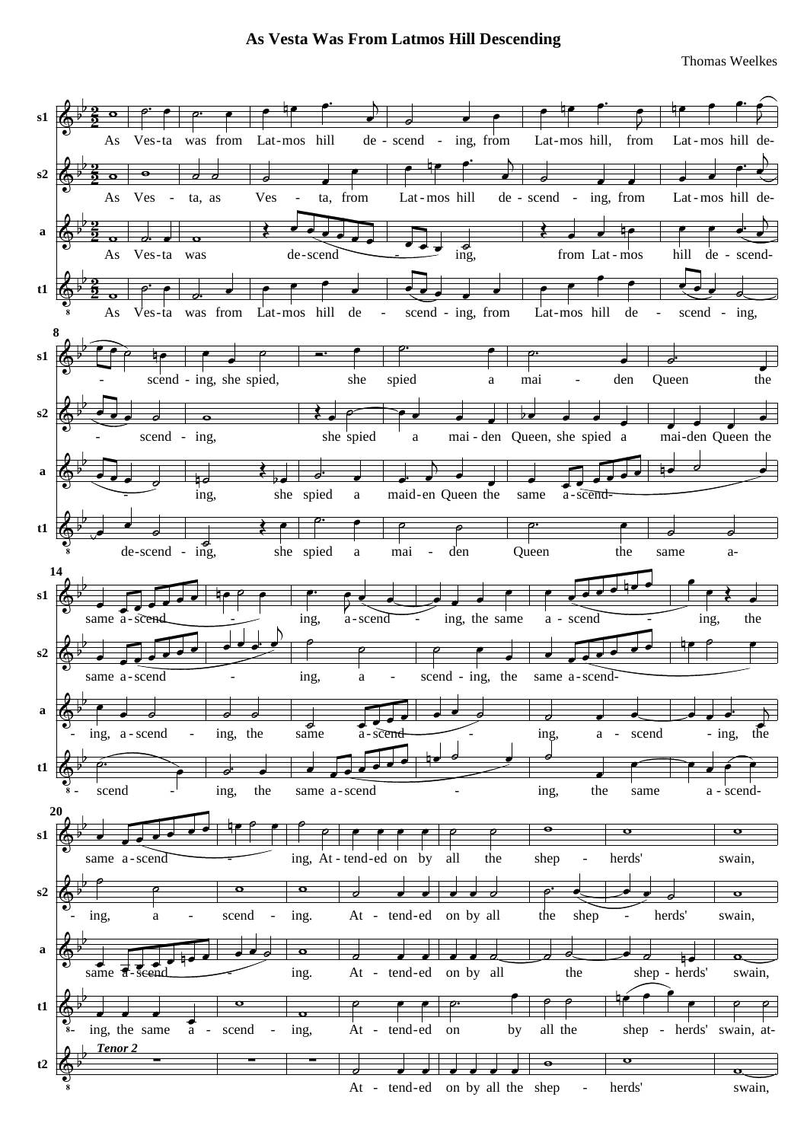**As Vesta Was From Latmos Hill Descending**

Thomas Weelkes

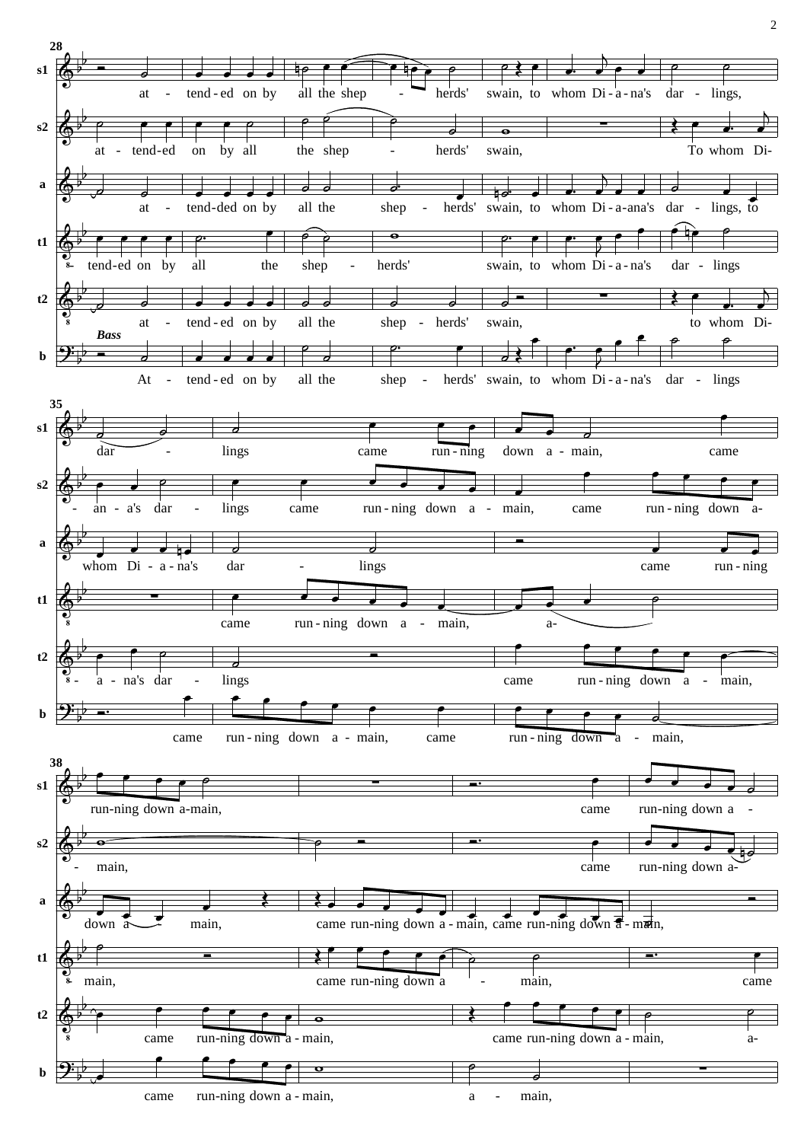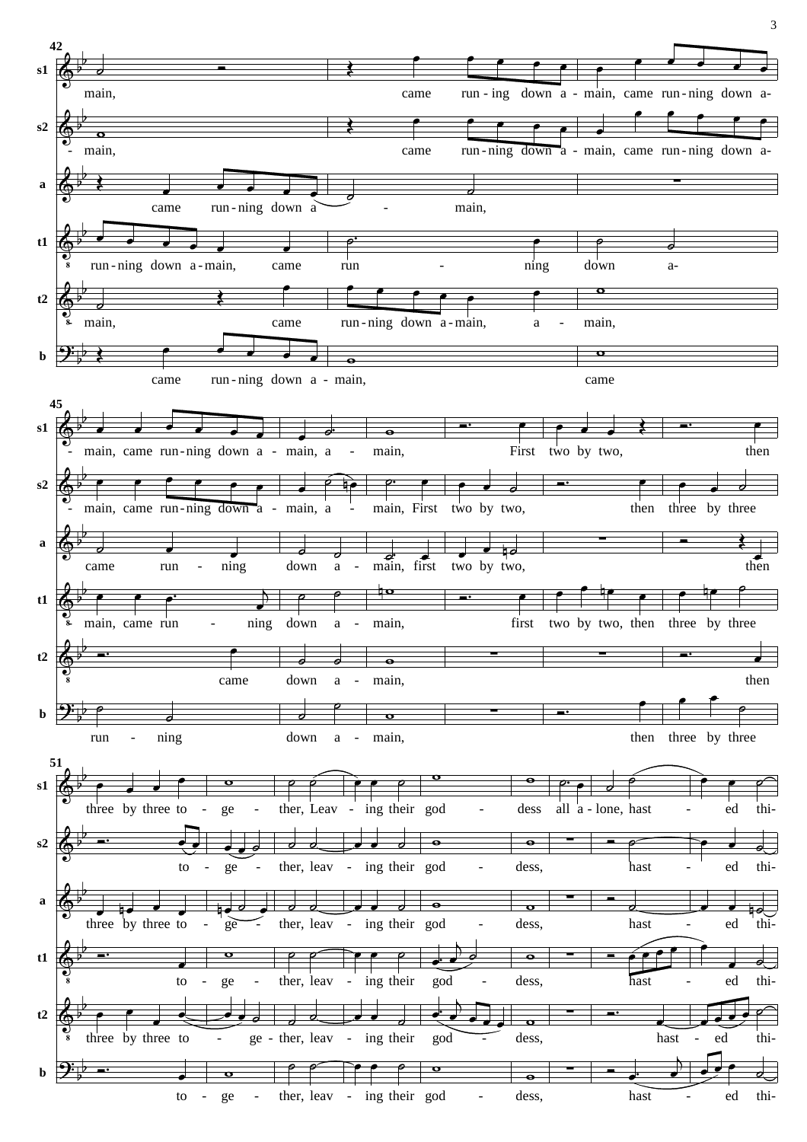

3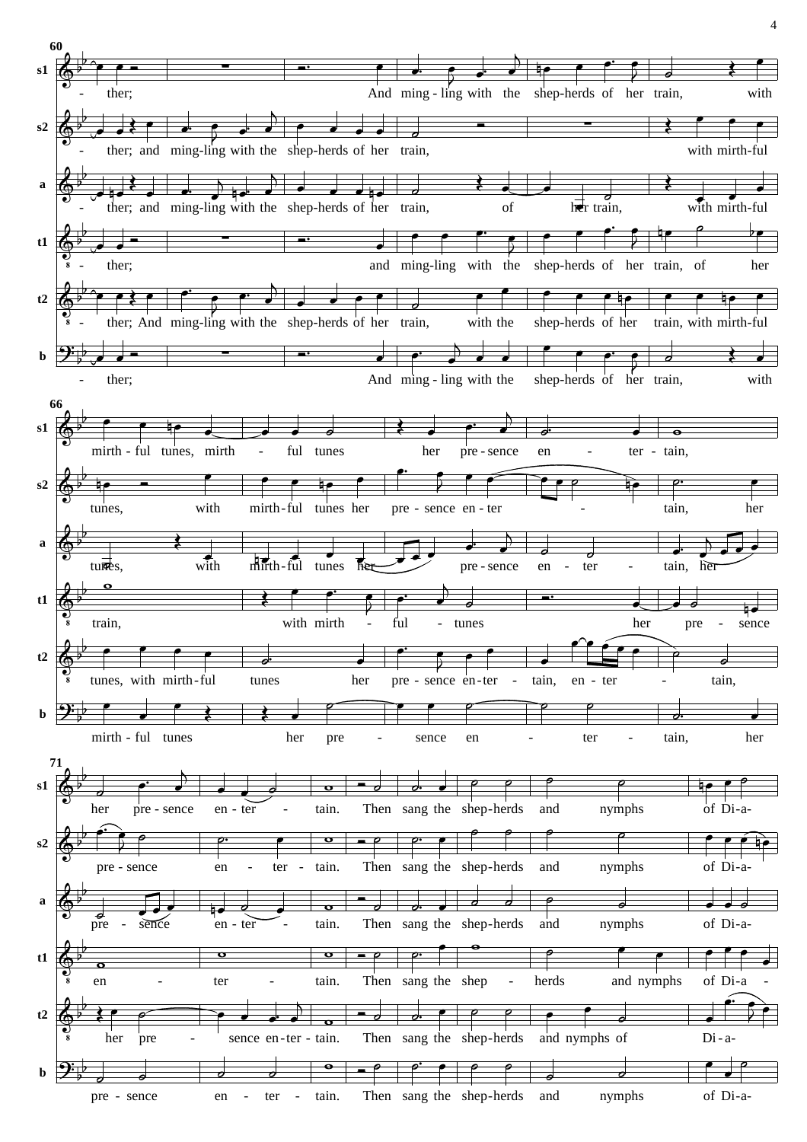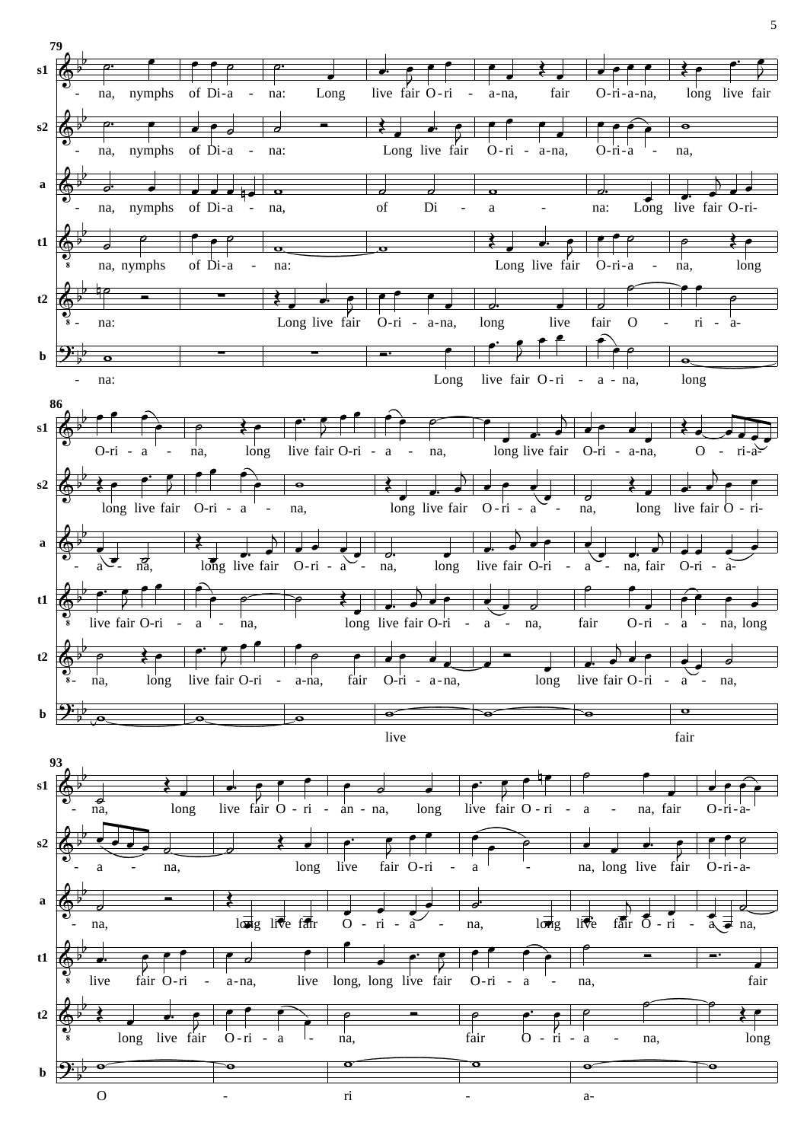